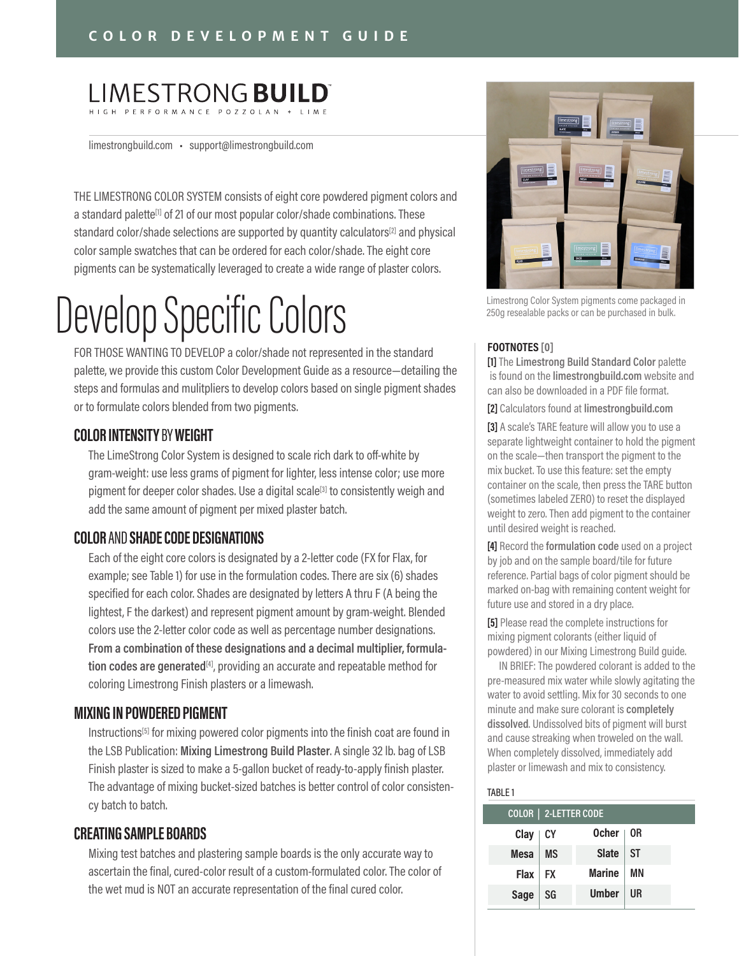### **LIMESTRONG BUILD**

limestrongbuild.com • support@limestrongbuild.com

THE LIMESTRONG COLOR SYSTEM consists of eight core powdered pigment colors and a standard palette**[1]** of 21 of our most popular color/shade combinations. These standard color/shade selections are supported by quantity calculators**[2]** and physical color sample swatches that can be ordered for each color/shade. The eight core pigments can be systematically leveraged to create a wide range of plaster colors.

# Develop Specific Colors

FOR THOSE WANTING TO DEVELOP a color/shade not represented in the standard palette, we provide this custom Color Development Guide as a resource—detailing the steps and formulas and mulitpliers to develop colors based on single pigment shades or to formulate colors blended from two pigments.

#### **COLOR INTENSITY** BY **WEIGHT**

The LimeStrong Color System is designed to scale rich dark to off-white by gram-weight: use less grams of pigment for lighter, less intense color; use more pigment for deeper color shades. Use a digital scale**[3]** to consistently weigh and add the same amount of pigment per mixed plaster batch.

#### **COLOR** AND **SHADE CODE DESIGNATIONS**

Each of the eight core colors is designated by a 2-letter code (FX for Flax, for example; see Table 1) for use in the formulation codes. There are six (6) shades specified for each color. Shades are designated by letters A thru F (A being the lightest, F the darkest) and represent pigment amount by gram-weight. Blended colors use the 2-letter color code as well as percentage number designations. **From a combination of these designations and a decimal multiplier, formulation codes are generated[4]**, providing an accurate and repeatable method for coloring Limestrong Finish plasters or a limewash.

#### **MIXING IN POWDERED PIGMENT**

Instructions**[5]** for mixing powered color pigments into the finish coat are found in the LSB Publication: **Mixing Limestrong Build Plaster**. A single 32 lb. bag of LSB Finish plaster is sized to make a 5-gallon bucket of ready-to-apply finish plaster. The advantage of mixing bucket-sized batches is better control of color consistency batch to batch.

#### **CREATING SAMPLE BOARDS**

Mixing test batches and plastering sample boards is the only accurate way to ascertain the final, cured-color result of a custom-formulated color. The color of the wet mud is NOT an accurate representation of the final cured color.



Limestrong Color System pigments come packaged in 250g resealable packs or can be purchased in bulk.

#### **FOOTNOTES [0]**

**[1]** The **Limestrong Build Standard Color** palette is found on the **limestrongbuild.com** website and can also be downloaded in a PDF file format.

**[2]** Calculators found at **limestrongbuild.com**

**[3]** A scale's TARE feature will allow you to use a separate lightweight container to hold the pigment on the scale—then transport the pigment to the mix bucket. To use this feature: set the empty container on the scale, then press the TARE button (sometimes labeled ZERO) to reset the displayed weight to zero. Then add pigment to the container until desired weight is reached.

**[4]** Record the **formulation code** used on a project by job and on the sample board/tile for future reference. Partial bags of color pigment should be marked on-bag with remaining content weight for future use and stored in a dry place.

**[5]** Please read the complete instructions for mixing pigment colorants (either liquid of powdered) in our Mixing Limestrong Build guide.

 IN BRIEF: The powdered colorant is added to the pre-measured mix water while slowly agitating the water to avoid settling. Mix for 30 seconds to one minute and make sure colorant is **completely dissolved**. Undissolved bits of pigment will burst and cause streaking when troweled on the wall. When completely dissolved, immediately add plaster or limewash and mix to consistency.

#### TABLE 1

| COLOR   2-LETTER CODE |           |                  |    |  |
|-----------------------|-----------|------------------|----|--|
| $Clay$ $CY$           |           | Ocher $\vert$ OR |    |  |
| Mesa                  | <b>MS</b> | $Slate$ $ST$     |    |  |
| Flax FX               |           | <b>Marine</b>    | ΜN |  |
| Sage                  | SG        | <b>Umber</b>     | UR |  |
|                       |           |                  |    |  |